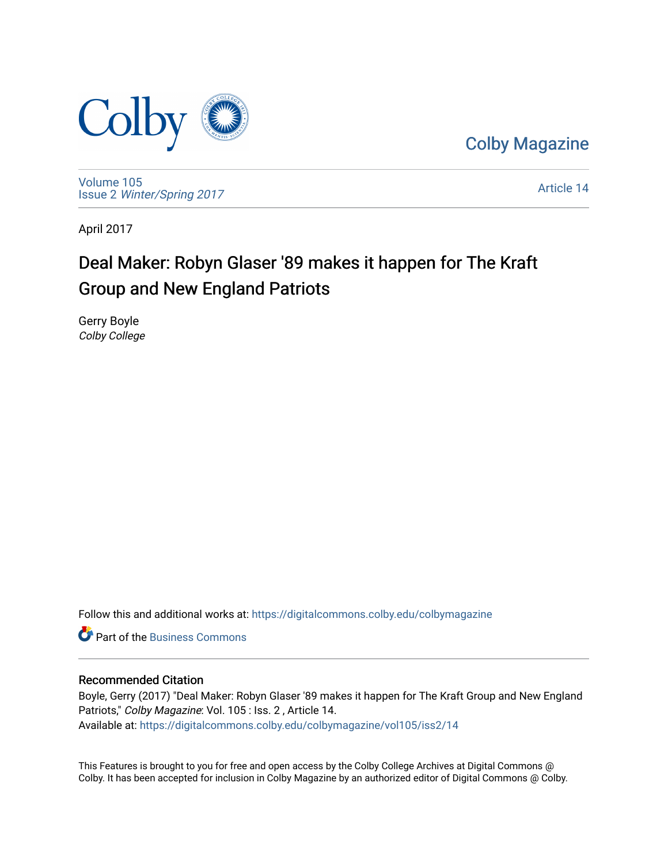

[Colby Magazine](https://digitalcommons.colby.edu/colbymagazine) 

[Volume 105](https://digitalcommons.colby.edu/colbymagazine/vol105) Issue 2 [Winter/Spring 2017](https://digitalcommons.colby.edu/colbymagazine/vol105/iss2) 

[Article 14](https://digitalcommons.colby.edu/colbymagazine/vol105/iss2/14) 

April 2017

### Deal Maker: Robyn Glaser '89 makes it happen for The Kraft Group and New England Patriots

Gerry Boyle Colby College

Follow this and additional works at: [https://digitalcommons.colby.edu/colbymagazine](https://digitalcommons.colby.edu/colbymagazine?utm_source=digitalcommons.colby.edu%2Fcolbymagazine%2Fvol105%2Fiss2%2F14&utm_medium=PDF&utm_campaign=PDFCoverPages)

**C** Part of the [Business Commons](http://network.bepress.com/hgg/discipline/622?utm_source=digitalcommons.colby.edu%2Fcolbymagazine%2Fvol105%2Fiss2%2F14&utm_medium=PDF&utm_campaign=PDFCoverPages)

### Recommended Citation

Boyle, Gerry (2017) "Deal Maker: Robyn Glaser '89 makes it happen for The Kraft Group and New England Patriots," Colby Magazine: Vol. 105 : Iss. 2 , Article 14. Available at: [https://digitalcommons.colby.edu/colbymagazine/vol105/iss2/14](https://digitalcommons.colby.edu/colbymagazine/vol105/iss2/14?utm_source=digitalcommons.colby.edu%2Fcolbymagazine%2Fvol105%2Fiss2%2F14&utm_medium=PDF&utm_campaign=PDFCoverPages)

This Features is brought to you for free and open access by the Colby College Archives at Digital Commons @ Colby. It has been accepted for inclusion in Colby Magazine by an authorized editor of Digital Commons @ Colby.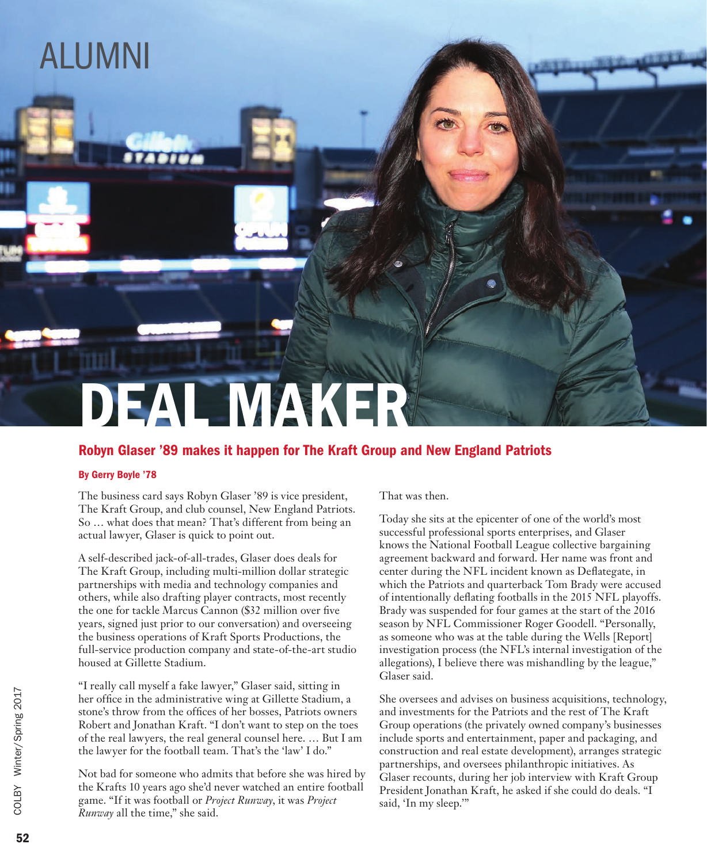## ALUMNI

# DEAL MAKER

### Robyn Glaser '89 makes it happen for The Kraft Group and New England Patriots

#### By Gerry Boyle '78

The business card says Robyn Glaser '89 is vice president, The Kraft Group, and club counsel, New England Patriots. So … what does that mean? That's different from being an actual lawyer, Glaser is quick to point out.

A self-described jack-of-all-trades, Glaser does deals for The Kraft Group, including multi-million dollar strategic partnerships with media and technology companies and others, while also drafting player contracts, most recently the one for tackle Marcus Cannon (\$32 million over five years, signed just prior to our conversation) and overseeing the business operations of Kraft Sports Productions, the full-service production company and state-of-the-art studio housed at Gillette Stadium.

"I really call myself a fake lawyer," Glaser said, sitting in her office in the administrative wing at Gillette Stadium, a stone's throw from the offices of her bosses, Patriots owners Robert and Jonathan Kraft. "I don't want to step on the toes of the real lawyers, the real general counsel here. … But I am the lawyer for the football team. That's the 'law' I do."

Not bad for someone who admits that before she was hired by the Krafts 10 years ago she'd never watched an entire football game. "If it was football or *Project Runway*, it was *Project Runway* all the time," she said.

That was then.

Today she sits at the epicenter of one of the world's most successful professional sports enterprises, and Glaser knows the National Football League collective bargaining agreement backward and forward. Her name was front and center during the NFL incident known as Deflategate, in which the Patriots and quarterback Tom Brady were accused of intentionally deflating footballs in the 2015 NFL playoffs. Brady was suspended for four games at the start of the 2016 season by NFL Commissioner Roger Goodell. "Personally, as someone who was at the table during the Wells [Report] investigation process (the NFL's internal investigation of the allegations), I believe there was mishandling by the league," Glaser said.

She oversees and advises on business acquisitions, technology, and investments for the Patriots and the rest of The Kraft Group operations (the privately owned company's businesses include sports and entertainment, paper and packaging, and construction and real estate development), arranges strategic partnerships, and oversees philanthropic initiatives. As Glaser recounts, during her job interview with Kraft Group President Jonathan Kraft, he asked if she could do deals. "I said, 'In my sleep.'"